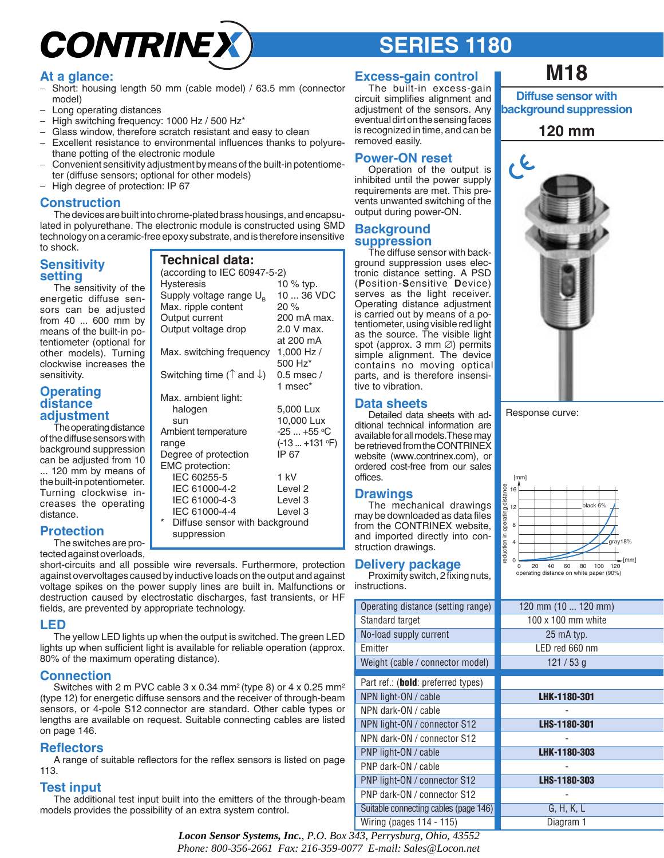# **CONTRINE**

## **SERIES 1180**

### **At a glance:**

- − Short: housing length 50 mm (cable model) / 63.5 mm (connector model)
- − Long operating distances
- − High switching frequency: 1000 Hz / 500 Hz\*
- Glass window, therefore scratch resistant and easy to clean
- − Excellent resistance to environmental influences thanks to polyurethane potting of the electronic module
- − Convenient sensitivity adjustment by means of the built-in potentiometer (diffuse sensors; optional for other models)
- − High degree of protection: IP 67

### **Construction**

The devices are built into chrome-plated brass housings, and encapsulated in polyurethane. The electronic module is constructed using SMD technology on a ceramic-free epoxy substrate, and is therefore insensitive to shock.

> **Technical data:** (according to IEC 60947-5-2) Hysteresis 10 % typ. Supply voltage range  $U_B$  10 ... 36 VDC<br>Max. ripple content 20 %

Max. ripple content

Max. ambient light:

Ambient temperature

EMC protection:

Output current 200 mA max. Output voltage drop 2.0 V max.

Max. switching frequency 1,000 Hz /

Switching time ( $\uparrow$  and  $\downarrow$ ) 0.5 msec /

halogen 5,000 Lux sun 10,000 Lux

range (-13... +131 °F) Degree of protection IP 67

 IEC 60255-5 1 kV IEC 61000-4-2 Level 2 IEC 61000-4-3 Level 3 IEC 61000-4-4 Level 3

at 200 mA

500 Hz\*

1 msec\*

 $-25$  ...  $+55$  °C

### **Sensitivity setting**

The sensitivity of the energetic diffuse sensors can be adjusted from 40 ... 600 mm by means of the built-in potentiometer (optional for other models). Turning clockwise increases the sensitivity.

#### **Operating distance adjustment**

The operating distance of the diffuse sensors with background suppression can be adjusted from 10 ... 120 mm by means of the built-in potentiometer. Turning clockwise increases the operating distance.

### **Protection**

The switches are protected against overloads, short-circuits and all possible wire reversals. Furthermore, protection against overvoltages caused by inductive loads on the output and against voltage spikes on the power supply lines are built in. Malfunctions or destruction caused by electrostatic discharges, fast transients, or HF Diffuse sensor with background suppression

fields, are prevented by appropriate technology.

### **LED**

The yellow LED lights up when the output is switched. The green LED lights up when sufficient light is available for reliable operation (approx. 80% of the maximum operating distance).

### **Connection**

Switches with 2 m PVC cable  $3 \times 0.34$  mm<sup>2</sup> (type 8) or  $4 \times 0.25$  mm<sup>2</sup> (type 12) for energetic diffuse sensors and the receiver of through-beam sensors, or 4-pole S12 connector are standard. Other cable types or lengths are available on request. Suitable connecting cables are listed on page 146.

### **Reflectors**

A range of suitable reflectors for the reflex sensors is listed on page 113.

### **Test input**

The additional test input built into the emitters of the through-beam models provides the possibility of an extra system control.

### **Excess-gain control**

The built-in excess-gain circuit simplifies alignment and adjustment of the sensors. Any eventual dirt on the sensing faces is recognized in time, and can be removed easily.

### **Power-ON reset**

Operation of the output is inhibited until the power supply requirements are met. This prevents unwanted switching of the output during power-ON.

### **Background suppression**

The diffuse sensor with background suppression uses electronic distance setting. A PSD (**P**osition-**S**ensitive **D**evice) serves as the light receiver. Operating distance adjustment is carried out by means of a potentiometer, using visible red light as the source. The visible light spot (approx. 3 mm ∅) permits simple alignment. The device contains no moving optical parts, and is therefore insensitive to vibration.

### **Data sheets**

Detailed data sheets with additional technical information are available for all models.These may be retrieved from the CONTRINEX website (www.contrinex.com), or ordered cost-free from our sales offices.

### **Drawings**

The mechanical drawings may be downloaded as data files from the CONTRINEX website, and imported directly into construction drawings.

### **Delivery package**

Proximity switch, 2 fixing nuts, instructions.

| Operating distance (setting range)          |  |
|---------------------------------------------|--|
| Standard target                             |  |
| No-load supply current                      |  |
| <b>Fmitter</b>                              |  |
| Weight (cable / connector model)            |  |
| Part ref.: ( <b>bold</b> : preferred types) |  |
| NPN light-ON / cable                        |  |
| NPN dark-ON / cable                         |  |
| NPN light-ON / connector S12                |  |
| NPN dark-ON / connector S12                 |  |
| PNP light-ON / cable                        |  |
| PNP dark-ON / cable                         |  |
| PNP light-ON / connector S12                |  |
| PNP dark-ON / connector S12                 |  |
| Suitable connecting cables (page 146)       |  |
| Wiring (pages 114 - 115)                    |  |

### **M18**

**Diffuse sensor with background suppression**

### **120 mm**



Response curve:



| ange)          | 120 mm (10  120 mm)       |
|----------------|---------------------------|
|                | $100 \times 100$ mm white |
|                | 25 mA typ.                |
|                | LED red 660 nm            |
| odel)          | 121/53g                   |
| oes)           |                           |
|                |                           |
|                | <b>LHK-1180-301</b>       |
|                |                           |
| 12             | LHS-1180-301              |
| 12             |                           |
|                | <b>LHK-1180-303</b>       |
|                |                           |
| $\overline{2}$ | LHS-1180-303              |
| $\overline{2}$ |                           |
| ge 146)        | G, H, K, L                |
|                | Diagram 1                 |

*Locon Sensor Systems, Inc.*, *P.O. Box 343, Perrysburg, Ohio, 43552 Phone: 800-356-2661 Fax: 216-359-0077 E-mail: Sales@Locon.net*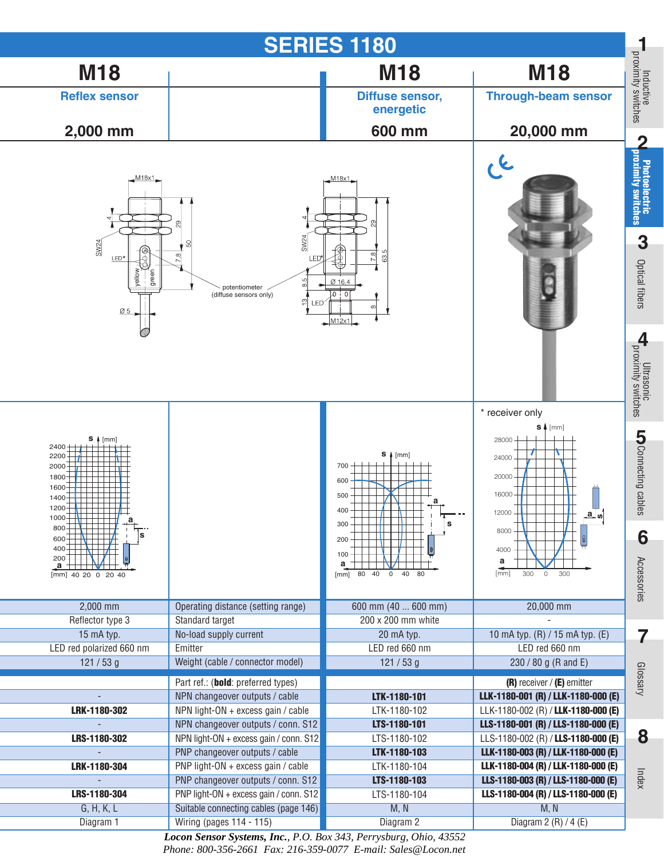

*Locon Sensor Systems, Inc.*, *P.O. Box 343, Perrysburg, Ohio, 43552 Phone: 800-356-2661 Fax: 216-359-0077 E-mail: Sales@Locon.net*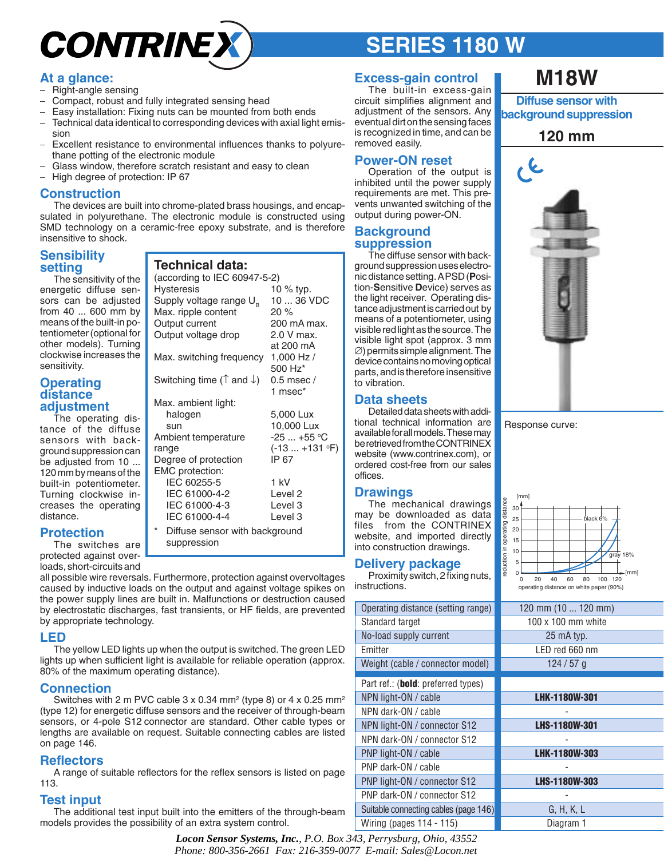# **CONTRINE**

## **SERIES 1180 W**

### **At a glance:**

- − Right-angle sensing
- Compact, robust and fully integrated sensing head
- Easy installation: Fixing nuts can be mounted from both ends
- − Technical data identical to corresponding devices with axial light emission
- − Excellent resistance to environmental influences thanks to polyurethane potting of the electronic module
- Glass window, therefore scratch resistant and easy to clean
- − High degree of protection: IP 67

### **Construction**

The devices are built into chrome-plated brass housings, and encapsulated in polyurethane. The electronic module is constructed using SMD technology on a ceramic-free epoxy substrate, and is therefore insensitive to shock.

> **Technical data:** (according to IEC 60947-5-2) Hysteresis 10 % typ. Supply voltage range  $U_B$  10 ... 36 VDC<br>Max. ripple content 20 %

Max. ripple content

Max. ambient light:

Ambient temperature

EMC protection:

Output current 200 mA max. Output voltage drop 2.0 V max.

Max. switching frequency 1,000 Hz /

Switching time ( $\uparrow$  and  $\downarrow$ ) 0.5 msec /

halogen 5,000 Lux sun 10,000 Lux

range (-13 ... +131 °F)

Degree of protection IP 67

 IEC 60255-5 1 kV IEC 61000-4-2 Level 2 IEC 61000-4-3 Level 3 IEC 61000-4-4 Level 3 Diffuse sensor with background

at 200 mA

500 Hz\*

1 msec\*

 $-25...+55$  °C

### **Sensibility setting**

The sensitivity of the energetic diffuse sensors can be adjusted from 40 ... 600 mm by means of the built-in potentiometer (optional for other models). Turning clockwise increases the sensitivity.

### **Operating distance adjustment**

The operating distance of the diffuse sensors with background suppression can be adjusted from 10 ... 120 mm by means of the built-in potentiometer. Turning clockwise increases the operating distance.

### **Protection**

protected against over-

The switches are loads, short-circuits and all possible wire reversals. Furthermore, protection against overvoltages caused by inductive loads on the output and against voltage spikes on suppression

the power supply lines are built in. Malfunctions or destruction caused by electrostatic discharges, fast transients, or HF fields, are prevented by appropriate technology.

### **LED**

The yellow LED lights up when the output is switched. The green LED lights up when sufficient light is available for reliable operation (approx. 80% of the maximum operating distance).

### **Connection**

Switches with 2 m PVC cable 3 x 0.34 mm<sup>2</sup> (type 8) or 4 x 0.25 mm<sup>2</sup> (type 12) for energetic diffuse sensors and the receiver of through-beam sensors, or 4-pole S12 connector are standard. Other cable types or lengths are available on request. Suitable connecting cables are listed on page 146.

### **Reflectors**

A range of suitable reflectors for the reflex sensors is listed on page 113.

### **Test input**

The additional test input built into the emitters of the through-beam models provides the possibility of an extra system control.

> *Locon Sensor Systems, Inc.*, *P.O. Box 343, Perrysburg, Ohio, 43552 Phone: 800-356-2661 Fax: 216-359-0077 E-mail: Sales@Locon.net*

### **Excess-gain control**

The built-in excess-gain circuit simplifies alignment and adjustment of the sensors. Any eventual dirt on the sensing faces is recognized in time, and can be removed easily.

### **Power-ON reset**

Operation of the output is inhibited until the power supply requirements are met. This prevents unwanted switching of the output during power-ON.

#### **Background suppression**

The diffuse sensor with background suppression uses electronic distance setting. A PSD (**P**osition-**S**ensitive **D**evice) serves as the light receiver. Operating distance adjustment is carried out by means of a potentiometer, using visible red light as the source. The visible light spot (approx. 3 mm ∅) permits simple alignment. The device contains no moving optical parts, and is therefore insensitive to vibration.

### **Data sheets**

Detailed data sheets with additional technical information are available for all models. These may be retrieved from the CONTRINEX website (www.contrinex.com), or ordered cost-free from our sales offices.

### **Drawings**

The mechanical drawings may be downloaded as data files from the CONTRINEX website, and imported directly into construction drawings.

### **Delivery package**

Proximity switch, 2 fixing nuts, instructions.

| Operating distance (setting range)          |  |
|---------------------------------------------|--|
| Standard target                             |  |
| No-load supply current                      |  |
| <b>Fmitter</b>                              |  |
| Weight (cable / connector model)            |  |
|                                             |  |
| Part ref.: ( <b>bold</b> : preferred types) |  |
| NPN light-ON / cable                        |  |
| NPN dark-ON / cable                         |  |
| NPN light-ON / connector S12                |  |
| NPN dark-ON / connector S12                 |  |
| PNP light-ON / cable                        |  |
| PNP dark-ON / cable                         |  |
| PNP light-ON / connector S12                |  |
| PNP dark-ON / connector S12                 |  |
| Suitable connecting cables (page 146)       |  |
| Wiring (pages 114 - 115)                    |  |

### **M18W**

**Diffuse sensor with background suppression**

### **120 mm**



Response curve:



| 120 mm (10  120 mm)       |
|---------------------------|
| $100 \times 100$ mm white |
| 25 mA typ.                |
| I FD red 660 nm           |
| $124/57$ g                |

| <b>LHK-1180W-301</b> |
|----------------------|
|                      |
| <b>LHS-1180W-301</b> |
|                      |
| <b>LHK-1180W-303</b> |
|                      |
| <b>LHS-1180W-303</b> |
|                      |
| G, H, K, L           |
| Diagram 1            |